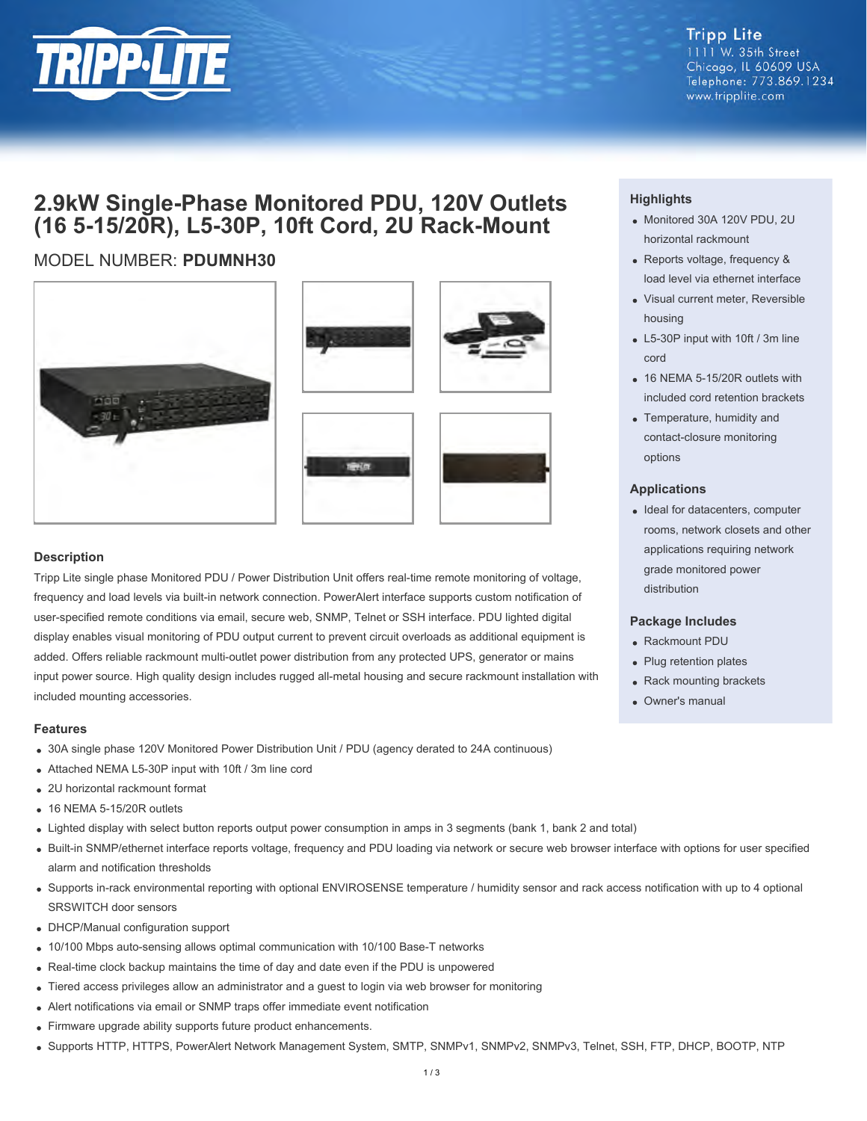

**Tripp Lite** 1111 W. 35th Street Chicago, IL 60609 USA Telephone: 773.869.1234 www.tripplite.com

# **2.9kW Single-Phase Monitored PDU, 120V Outlets (16 5-15/20R), L5-30P, 10ft Cord, 2U Rack-Mount**

# MODEL NUMBER: **PDUMNH30**









# **Description**

Tripp Lite single phase Monitored PDU / Power Distribution Unit offers real-time remote monitoring of voltage, frequency and load levels via built-in network connection. PowerAlert interface supports custom notification of user-specified remote conditions via email, secure web, SNMP, Telnet or SSH interface. PDU lighted digital display enables visual monitoring of PDU output current to prevent circuit overloads as additional equipment is added. Offers reliable rackmount multi-outlet power distribution from any protected UPS, generator or mains input power source. High quality design includes rugged all-metal housing and secure rackmount installation with included mounting accessories.

#### **Features**

- 30A single phase 120V Monitored Power Distribution Unit / PDU (agency derated to 24A continuous)
- Attached NEMA L5-30P input with 10ft / 3m line cord
- 2U horizontal rackmount format
- 16 NEMA 5-15/20R outlets
- Lighted display with select button reports output power consumption in amps in 3 segments (bank 1, bank 2 and total)
- Built-in SNMP/ethernet interface reports voltage, frequency and PDU loading via network or secure web browser interface with options for user specified alarm and notification thresholds
- Supports in-rack environmental reporting with optional ENVIROSENSE temperature / humidity sensor and rack access notification with up to 4 optional SRSWITCH door sensors
- DHCP/Manual configuration support
- 10/100 Mbps auto-sensing allows optimal communication with 10/100 Base-T networks
- Real-time clock backup maintains the time of day and date even if the PDU is unpowered
- Tiered access privileges allow an administrator and a guest to login via web browser for monitoring
- Alert notifications via email or SNMP traps offer immediate event notification
- Firmware upgrade ability supports future product enhancements.
- Supports HTTP, HTTPS, PowerAlert Network Management System, SMTP, SNMPv1, SNMPv2, SNMPv3, Telnet, SSH, FTP, DHCP, BOOTP, NTP

## **Highlights**

- Monitored 30A 120V PDU, 2U horizontal rackmount
- Reports voltage, frequency & load level via ethernet interface
- Visual current meter, Reversible housing
- L5-30P input with 10ft / 3m line cord
- 16 NEMA 5-15/20R outlets with included cord retention brackets
- Temperature, humidity and contact-closure monitoring options

#### **Applications**

• Ideal for datacenters, computer rooms, network closets and other applications requiring network grade monitored power distribution

#### **Package Includes**

- Rackmount PDU
- Plug retention plates
- Rack mounting brackets
- Owner's manual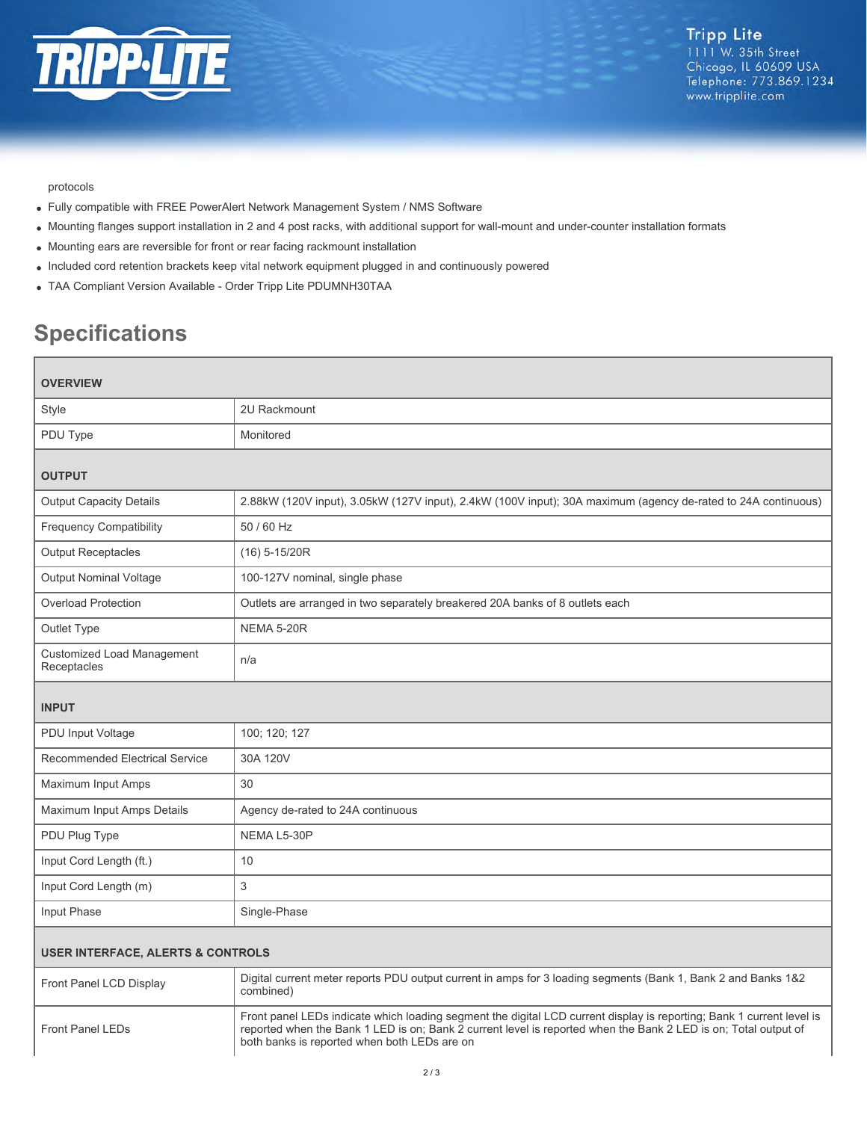

# protocols

- Fully compatible with FREE PowerAlert Network Management System / NMS Software
- Mounting flanges support installation in 2 and 4 post racks, with additional support for wall-mount and under-counter installation formats
- Mounting ears are reversible for front or rear facing rackmount installation
- Included cord retention brackets keep vital network equipment plugged in and continuously powered
- TAA Compliant Version Available Order Tripp Lite PDUMNH30TAA

# **Specifications**

| <b>OVERVIEW</b>                                  |                                                                                                               |  |
|--------------------------------------------------|---------------------------------------------------------------------------------------------------------------|--|
| Style                                            | 2U Rackmount                                                                                                  |  |
| PDU Type                                         | Monitored                                                                                                     |  |
| <b>OUTPUT</b>                                    |                                                                                                               |  |
| <b>Output Capacity Details</b>                   | 2.88kW (120V input), 3.05kW (127V input), 2.4kW (100V input); 30A maximum (agency de-rated to 24A continuous) |  |
| <b>Frequency Compatibility</b>                   | 50 / 60 Hz                                                                                                    |  |
| <b>Output Receptacles</b>                        | $(16)$ 5-15/20R                                                                                               |  |
| Output Nominal Voltage                           | 100-127V nominal, single phase                                                                                |  |
| <b>Overload Protection</b>                       | Outlets are arranged in two separately breakered 20A banks of 8 outlets each                                  |  |
| Outlet Type                                      | <b>NEMA 5-20R</b>                                                                                             |  |
| <b>Customized Load Management</b><br>Receptacles | n/a                                                                                                           |  |
| <b>INPUT</b>                                     |                                                                                                               |  |
| PDU Input Voltage                                | 100; 120; 127                                                                                                 |  |
| <b>Recommended Electrical Service</b>            | 30A 120V                                                                                                      |  |
| Maximum Input Amps                               | 30                                                                                                            |  |
| Maximum Input Amps Details                       | Agency de-rated to 24A continuous                                                                             |  |
| PDU Plug Type                                    | NEMA L5-30P                                                                                                   |  |
| Input Cord Length (ft.)                          | 10                                                                                                            |  |
| Input Cord Length (m)                            | 3                                                                                                             |  |
| Input Phase                                      | Single-Phase                                                                                                  |  |
|                                                  |                                                                                                               |  |

# **USER INTERFACE, ALERTS & CONTROLS**

| Front Panel LCD Display | Digital current meter reports PDU output current in amps for 3 loading segments (Bank 1, Bank 2 and Banks 1&2<br>combined)                                                                                                                                                               |
|-------------------------|------------------------------------------------------------------------------------------------------------------------------------------------------------------------------------------------------------------------------------------------------------------------------------------|
| Front Panel LEDs        | Front panel LEDs indicate which loading segment the digital LCD current display is reporting; Bank 1 current level is<br>reported when the Bank 1 LED is on; Bank 2 current level is reported when the Bank 2 LED is on; Total output of<br>both banks is reported when both LEDs are on |